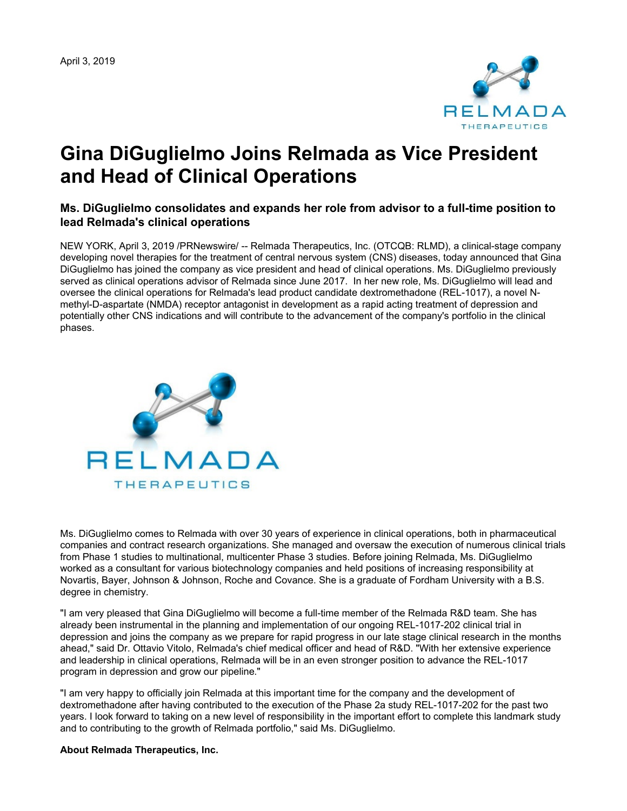

# **Gina DiGuglielmo Joins Relmada as Vice President and Head of Clinical Operations**

# **Ms. DiGuglielmo consolidates and expands her role from advisor to a full-time position to lead Relmada's clinical operations**

NEW YORK, April 3, 2019 /PRNewswire/ -- Relmada Therapeutics, Inc. (OTCQB: RLMD), a clinical-stage company developing novel therapies for the treatment of central nervous system (CNS) diseases, today announced that Gina DiGuglielmo has joined the company as vice president and head of clinical operations. Ms. DiGuglielmo previously served as clinical operations advisor of Relmada since June 2017. In her new role, Ms. DiGuglielmo will lead and oversee the clinical operations for Relmada's lead product candidate dextromethadone (REL-1017), a novel Nmethyl-D-aspartate (NMDA) receptor antagonist in development as a rapid acting treatment of depression and potentially other CNS indications and will contribute to the advancement of the company's portfolio in the clinical phases.



Ms. DiGuglielmo comes to Relmada with over 30 years of experience in clinical operations, both in pharmaceutical companies and contract research organizations. She managed and oversaw the execution of numerous clinical trials from Phase 1 studies to multinational, multicenter Phase 3 studies. Before joining Relmada, Ms. DiGuglielmo worked as a consultant for various biotechnology companies and held positions of increasing responsibility at Novartis, Bayer, Johnson & Johnson, Roche and Covance. She is a graduate of Fordham University with a B.S. degree in chemistry.

"I am very pleased that Gina DiGuglielmo will become a full-time member of the Relmada R&D team. She has already been instrumental in the planning and implementation of our ongoing REL-1017-202 clinical trial in depression and joins the company as we prepare for rapid progress in our late stage clinical research in the months ahead," said Dr. Ottavio Vitolo, Relmada's chief medical officer and head of R&D. "With her extensive experience and leadership in clinical operations, Relmada will be in an even stronger position to advance the REL-1017 program in depression and grow our pipeline."

"I am very happy to officially join Relmada at this important time for the company and the development of dextromethadone after having contributed to the execution of the Phase 2a study REL-1017-202 for the past two years. I look forward to taking on a new level of responsibility in the important effort to complete this landmark study and to contributing to the growth of Relmada portfolio," said Ms. DiGuglielmo.

**About Relmada Therapeutics, Inc.**